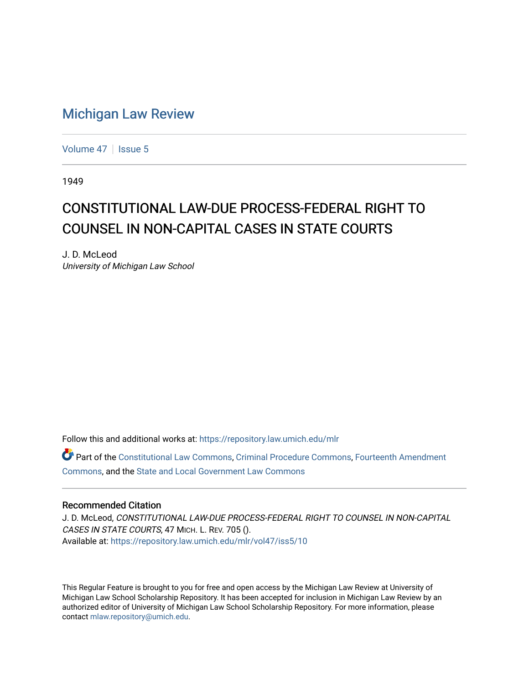## [Michigan Law Review](https://repository.law.umich.edu/mlr)

[Volume 47](https://repository.law.umich.edu/mlr/vol47) | [Issue 5](https://repository.law.umich.edu/mlr/vol47/iss5)

1949

## CONSTITUTIONAL LAW-DUE PROCESS-FEDERAL RIGHT TO COUNSEL IN NON-CAPITAL CASES IN STATE COURTS

J. D. McLeod University of Michigan Law School

Follow this and additional works at: [https://repository.law.umich.edu/mlr](https://repository.law.umich.edu/mlr?utm_source=repository.law.umich.edu%2Fmlr%2Fvol47%2Fiss5%2F10&utm_medium=PDF&utm_campaign=PDFCoverPages) 

Part of the [Constitutional Law Commons,](http://network.bepress.com/hgg/discipline/589?utm_source=repository.law.umich.edu%2Fmlr%2Fvol47%2Fiss5%2F10&utm_medium=PDF&utm_campaign=PDFCoverPages) [Criminal Procedure Commons,](http://network.bepress.com/hgg/discipline/1073?utm_source=repository.law.umich.edu%2Fmlr%2Fvol47%2Fiss5%2F10&utm_medium=PDF&utm_campaign=PDFCoverPages) [Fourteenth Amendment](http://network.bepress.com/hgg/discipline/1116?utm_source=repository.law.umich.edu%2Fmlr%2Fvol47%2Fiss5%2F10&utm_medium=PDF&utm_campaign=PDFCoverPages)  [Commons](http://network.bepress.com/hgg/discipline/1116?utm_source=repository.law.umich.edu%2Fmlr%2Fvol47%2Fiss5%2F10&utm_medium=PDF&utm_campaign=PDFCoverPages), and the [State and Local Government Law Commons](http://network.bepress.com/hgg/discipline/879?utm_source=repository.law.umich.edu%2Fmlr%2Fvol47%2Fiss5%2F10&utm_medium=PDF&utm_campaign=PDFCoverPages)

## Recommended Citation

J. D. McLeod, CONSTITUTIONAL LAW-DUE PROCESS-FEDERAL RIGHT TO COUNSEL IN NON-CAPITAL CASES IN STATE COURTS, 47 MICH. L. REV. 705 (). Available at: [https://repository.law.umich.edu/mlr/vol47/iss5/10](https://repository.law.umich.edu/mlr/vol47/iss5/10?utm_source=repository.law.umich.edu%2Fmlr%2Fvol47%2Fiss5%2F10&utm_medium=PDF&utm_campaign=PDFCoverPages) 

This Regular Feature is brought to you for free and open access by the Michigan Law Review at University of Michigan Law School Scholarship Repository. It has been accepted for inclusion in Michigan Law Review by an authorized editor of University of Michigan Law School Scholarship Repository. For more information, please contact [mlaw.repository@umich.edu](mailto:mlaw.repository@umich.edu).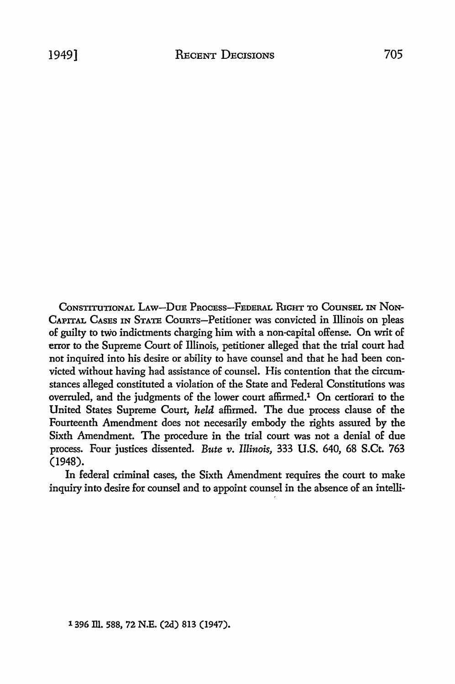CoNSTITUTIONAL LAw-DuE PRocEss-FEDERAL RIGHT TO CouNSEL IN NoN-CAPITAL CASES IN STATE CouRTs-Petitioner was convicted in Illinois on pleas of guilty to two indictments charging him with a non-capital offense. On writ of error to the Supreme Court of Illinois, petitioner alleged that the trial court had not inquired into his desire or ability to have counsel and that he had been convicted without having had assistance of counsel. His contention that the circumstances alleged constituted a violation of the State and Federal Constitutions was overruled, and the judgments of the lower court affirmed.1 On certiorari to the United States Supreme Court, *held* affirmed. The due process clause of the Fourteenth Amendment does not necesarily embody the rights assured by the Sixth Amendment. The procedure in the trial court was not a denial of due process. Four justices dissented. *Bute v. Illinois,* 333 U.S. 640, 68 S.Ct. 763 (1948).

In federal criminal cases, the Sixth Amendment requires the court to make inquiry into desire for counsel and to appoint counsel in the absence of an intelli-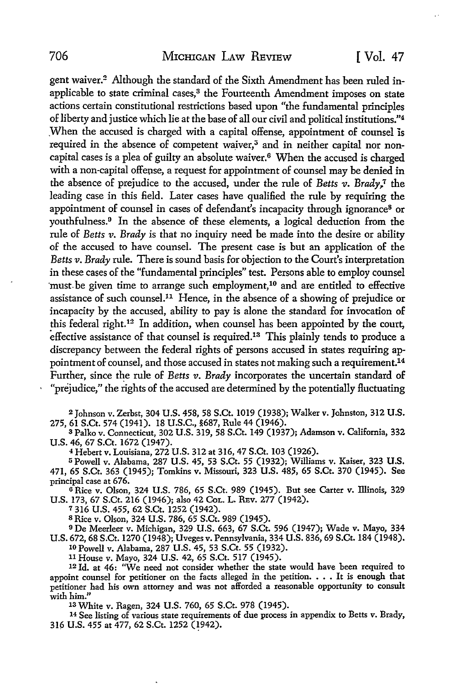gent waiver.2 Although the standard of the Sixth Amendment has been ruled inapplicable to state criminal cases,<sup>3</sup> the Fourteenth Amendment imposes on state actions certain constitutional restrictions based upon "the fundamental principles of liberty and justice which lie at the base of all our civil and political institutions."<sup>4</sup> ,When the accused is charged with a capital offense, appointment of counsel is required in the absence of competent waiver,<sup>5</sup> and in neither capital nor noncapital cases is a plea of guilty an absolute waiver.6 When the accused is charged with a non-capital offense, a request for appointment of counsel may be denied in the absence of prejudice to the accused, under the rule of *Betts v. Brady,.1* the leading case in this field. Later cases have qualified the rule by requiring the appointment of counsel in cases of defendant's incapacity through ignorance8 or youthfulness.<sup>9</sup> In the absence of these elements, a logical deduction from the rule of *Betts v. Brady* is that no inquiry need be made into the desire or ability of the accused to have counsel. The present case is but an application of the *Betts v. Brady* rule. There is sound basis for objection to the Court's interpretation in these cases of the "fundamental principles" test. Persons able to employ counsel must be given time to arrange such employment,<sup>10</sup> and are entitled to effective assistance of such counsel.<sup>11</sup> Hence, in the absence of a showing of prejudice or incapacity by the accused, ability to pay is alone the standard for invocation of this federal right.12 In addition, when counsel has been appointed by the court, effective assistance of that counsel is required.<sup>13</sup> This plainly tends to produce a discrepancy between the federal rights of persons accused in states requiring appointment of counsel, and those accused in states not making such a requirement.14 Further, since the rule of *Betts v. Brady* incorporates the uncertain standard of "prejudice," the rights of the accused are determined by the potentially fluctuating

<sup>2</sup>Johnson v. Zerbst, 304 U.S. 458, 58 S.Ct. 1019 (1938); Walker v. Johnston, 312 **U.S.**  275, 61 S.Ct. 574 (1941). 18 U.S.C., §687, Rule 44 (1946).

<sup>3</sup>Palko v. Connecticut, 302 U.S. 319, 58 S.Ct. 149 (1937); Adamson v. California, 332 U.S. 46, 67 S.Ct. 1672 (1947).

<sup>4</sup>Hebert v. Louisiana, 272 U.S. 312 at 316, 47 S.Ct. 103 (1926).

<sup>5</sup>Powell v. Alabama, 287 U.S. 45, 53 S.Ct. 55 (1932); Williams v. Kaiser, 323 **U.S.**  471, 65 S.Ct. 363 (1945); Tomkins v. Missouri, 323 U.S. 485, 65 S.Ct. 370 (1945). See principal case at 676.

<sup>G</sup>Rice v. Olson, 324 U.S. 786, 65 S.Ct. 989 (1945). But see Carter v. Illinois, 329 U.S. 173, 67 S.Ct. 216 (1946); also 42 CoL. L. REv. 277 (1942).

<sup>7</sup>316 U.S. 455, 62 S.Ct. 1252 (1942).

s Rice v. Olson, 324 U.S. 786, 65 S.Ct. 989 (1945).

<sup>9</sup>De Meerleer v. Michigan, 329 U.S. 663, 67 S.Ct. 596 (1947); Wade v. Mayo, 334 U.S. 672, 68 S.Ct. 1270 (1948); Uveges v. Pennsylvania, 334 U.S. 836, 69 S.Ct. 184 (1948). 10 Powell v. Alabama, 287 U.S. 45, 53 S.Ct. 55 (1932).

<sup>11</sup>House v. Mayo, 324 U.S. 42, 65 S.Ct. 517 (1945).

12 Id. at 46: "We need not consider whether the state would have been required to appoint counsel for petitioner on the facts alleged in the petition.  $\ldots$  It is enough that petitioner had bis own attorney and was not afforded a reasonable opportunity to consult with him."

1s White v. Ragen, 324 U.S. 760, 65 S.Ct. 978 (1945).

<sup>14</sup>See listing of various state requirements of due process in appendix to Betts v. Brady, 316 U.S. 455 at 477, 62 S.Ct. 1252 (1942).